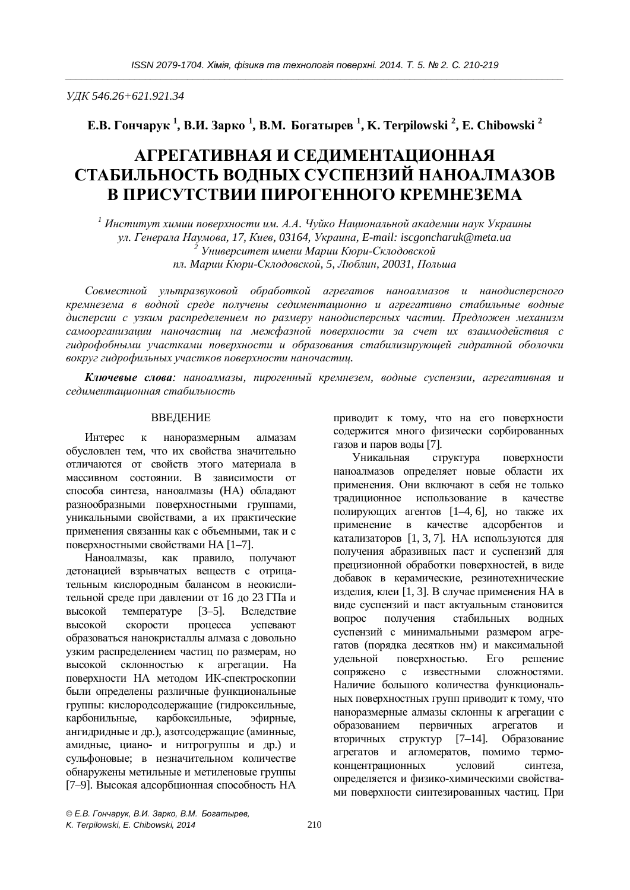*ɍȾɄ 546.26+621.921.34* 

**ȿȼ. Ƚɨɧɱɚɪɭɤ <sup>1</sup> , ȼɂ. Ɂɚɪɤɨ <sup>1</sup> , ȼɆ. Ȼɨɝɚɬɵɪɟɜ <sup>1</sup> , K. Terpilowski <sup>2</sup> , E. Chibowski <sup>2</sup>**

# АГРЕГАТИВНАЯ И СЕДИМЕНТАЦИОННАЯ СТАБИЛЬНОСТЬ ВОДНЫХ СУСПЕНЗИЙ НАНОАЛМАЗОВ **В ПРИСУТСТВИИ ПИРОГЕННОГО КРЕМНЕЗЕМА**

<sup>1</sup> Институт химии поверхности им. А.А. Чуйко Национальной академии наук Украины *ɭɥ. Ƚɟɧɟɪɚɥɚɇɚɭɦɨɜɚ, 17, Ʉɢɟɜ, 03164, ɍɤɪɚɢɧɚ, E-mail: iscgoncharuk@meta.ua*  <sup>2</sup> Университет имени Марии Кюри-Склодовской *пл. Марии Кюри-Склодовской, 5, Люблин, 20031, Польша* 

Совместной ультразвуковой обработкой агрегатов наноалмазов и нанодисперсного кремнезема в водной среде получены седиментационно и агрегативно стабильные водные дисперсии с узким распределением по размеру нанодисперсных частиц. Предложен механизм самоорганизации наночастиц на межфазной поверхности за счет их взаимодействия с гидрофобными участками поверхности и образования стабилизирующей гидратной оболочки вокруг гидрофильных участков поверхности наночастиц.

Ключевые слова: наноалмазы, пирогенный кремнезем, водные суспензии, агрегативная и седименташионная стабильность

#### ВВЕДЕНИЕ

Интерес к наноразмерным алмазам обусловлен тем, что их свойства значительно отличаются от свойств этого материала в массивном состоянии. В зависимости от способа синтеза, наноалмазы (НА) обладают разнообразными поверхностными группами, уникальными свойствами, а их практические применения связанны как с объемными, так и с поверхностными свойствами НА [1–7].

Наноалмазы, как правило, получают детонацией взрывчатых веществ с отрицательным кислородным балансом в неокислительной среде при давлении от 16 до 23 ГПа и высокой температуре [3–5]. Вследствие высокой скорости процесса успевают образоваться нанокристаллы алмаза с довольно узким распределением частиц по размерам, но высокой склонностью к агрегации. На поверхности НА методом ИК-спектроскопии были определены различные функциональные группы: кислородсодержащие (гидроксильные, карбонильные, карбоксильные, эфирные, ангидридные и др.), азотсодержащие (аминные, амидные, циано- и нитрогруппы и др.) и сульфоновые; в незначительном количестве обнаружены метильные и метиленовые группы [7–9]. Высокая адсорбционная способность НА

приводит к тому, что на его поверхности содержится много физически сорбированных газов и паров воды [7].

Уникальная структура поверхности наноалмазов определяет новые области их применения. Они включают в себя не только традиционное использование в качестве полирующих агентов [1–4, 6], но также их применение в качестве адсорбентов катализаторов [1, 3, 7]. НА используются для получения абразивных паст и суспензий для прецизионной обработки поверхностей, в виде добавок в керамические, резинотехнические изделия, клеи [1, 3]. В случае применения НА в виде суспензий и паст актуальным становится вопрос получения стабильных водных суспензий с минимальными размером агрегатов (порядка десятков нм) и максимальной үдельной поверхностью. Его решение сопряжено с известными сложностями. Наличие большого количества функциональных поверхностных групп приводит к тому, что наноразмерные алмазы склонны к агрегации с образованием первичных агрегатов и вторичных структур [7–14]. Образование агрегатов и агломератов, помимо термоконцентрационных условий синтеза, определяется и физико-химическими свойствами поверхности синтезированных частиц. При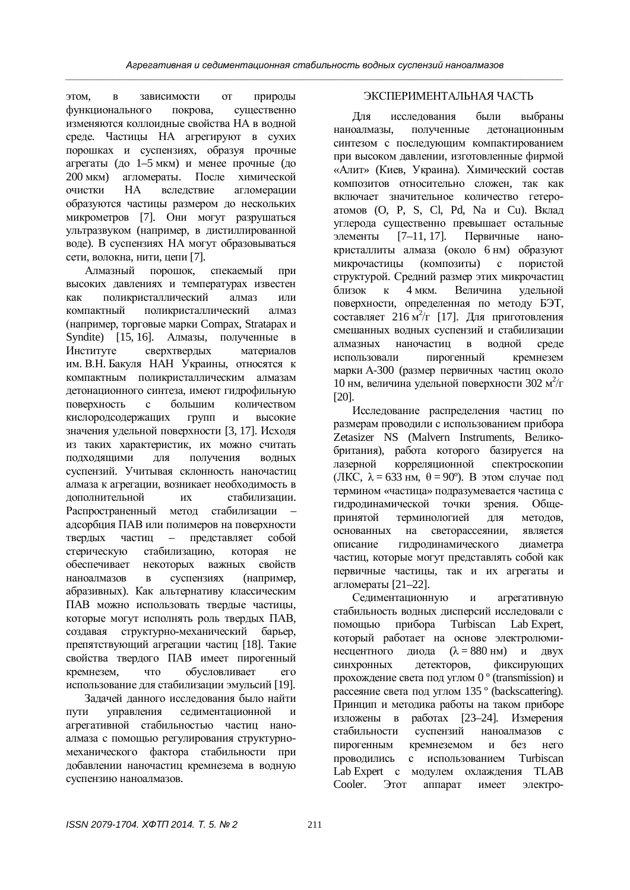этом, в зависимости от природы функционального покрова, существенно изменяются коллоилные свойства НА в волной среде. Частицы НА агрегируют в сухих порошках и суспензиях, образуя прочные агрегаты (до 1–5 мкм) и менее прочные (до 200 мкм) агломераты. После химической очистки НА вследствие агломерации образуются частицы размером до нескольких микрометров [7]. Они могут разрушаться VЛЬТРАЗВУКОМ (НАПРИМЕР, в дистиллированной воде). В суспензиях НА могут образовываться сети, волокна, нити, цепи [7].

Алмазный порошок, спекаемый при высоких давлениях и температурах известен как поликристаллический алмаз или компактный поликристаллический алмаз (например, торговые марки Compax, Stratapax и Syndite) [15, 16]. Алмазы, полученные в Институте сверхтвердых материалов им. В.Н. Бакуля НАН Украины, относятся к компактным поликристаллическим алмазам детонационного синтеза, имеют гидрофильную поверхность с большим количеством кислородсодержащих групп и высокие значения удельной поверхности [3, 17]. Исходя из таких характеристик, их можно считать ПОДХОДЯЩИМИ ДЛЯ ПОЛУЧЕНИЯ ВОДНЫХ суспензий. Учитывая склонность наночастиц алмаза к агрегации, возникает необходимость в дополнительной их стабилизации. Распространенный метод стабилизации адсорбция ПАВ или полимеров на поверхности твердых частиц – представляет собой стерическую стабилизацию, которая не обеспечивает некоторых важных свойств наноалмазов в суспензиях (например, абразивных). Как альтернативу классическим ПАВ можно использовать твердые частицы, которые могут исполнять роль твердых ПАВ, создавая структурно-механический барьер. препятствующий агрегации частиц [18]. Такие свойства твердого ПАВ имеет пирогенный кремнезем, что обусловливает его использование для стабилизации эмульсий [19].

Задачей данного исследования было найти пути управления седиментационной и агрегативной стабильностью частиц наноалмаза с помошью регулирования структурномеханического фактора стабильности при добавлении наночастиц кремнезема в водную суспензию наноалмазов.

## ЭКСПЕРИМЕНТАЛЬНАЯ ЧАСТЬ

Лля исслелования были выбраны наноалмазы. полученные детонационным синтезом с последующим компактированием при высоком давлении, изготовленные фирмой «Алит» (Киев, Украина). Химический состав композитов относительно сложен, так как включает значительное количество гетероатомов (O, P, S, Cl, Pd, Na и Cu). Вклад углерода существенно превышает остальные элементы [7–11, 17]. Первичные нанокристаллиты алмаза (около 6 нм) образуют микрочастицы (композиты) с пористой структурой. Средний размер этих микрочастиц близок к 4 мкм. Величина удельной поверхности, определенная по методу БЭТ, составляет 216  $\overline{M}^2/\Gamma$  [17]. Для приготовления смешанных волных суспензий и стабилизации алмазных наночастии в волной среде использовали пирогенный кремнезем марки А-300 (размер первичных частиц около 10 нм, величина удельной поверхности 302 м<sup>2</sup>/г [20].

Исследование распределения частиц по размерам проводили с использованием прибора Zetasizer NS (Malvern Instruments, Великобритания), работа которого базируется на лазерной корреляционной спектроскопии (JIKC,  $\lambda = 633$  HM,  $\theta = 90^\circ$ ). В этом случае под термином «частица» подразумевается частица с гилролинамической точки зрения. Общепринятой терминологией для методов, основанных на светорассеянии, является описание гидродинамического диаметра частиц, которые могут представлять собой как первичные частицы, так и их агрегаты и агломераты [21–22].

Седиментационную и агрегативную стабильность водных дисперсий исследовали с помощью прибора Turbiscan Lab Expert, который работает на основе электролюминесцентного диода  $(\lambda = 880 \text{ }\text{HM})$  и двух синхронных детекторов, фиксирующих прохождение света под углом 0 $\degree$  (transmission) и рассеяние света под углом 135<sup>°</sup> (backscattering). Принцип и методика работы на таком приборе изложены в работах [23–24]. Измерения стабильности суспензий наноалмазов с пирогенным кремнеземом и без него проводились с использованием Turbiscan Lab Expert с молулем охлаждения TLAB Cooler. Этот аппарат имеет электро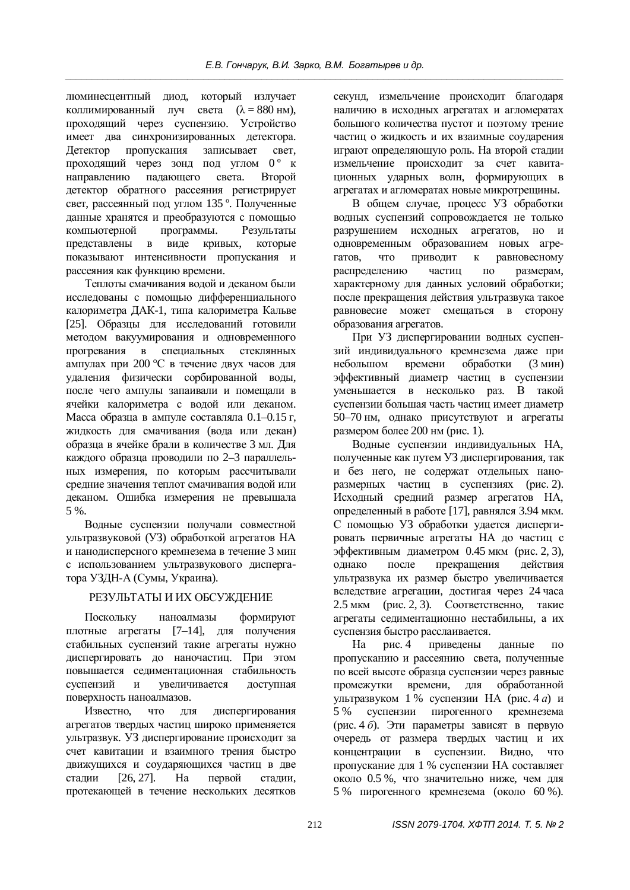люминесцентный лиол, который излучает коллимированный луч света  $(\lambda = 880 \text{ }\mathrm{HM})$ , проходящий через суспензию. Устройство имеет два синхронизированных детектора. Детектор пропускания записывает свет, проходящий через зонд под углом 0° к направлению падающего света. Второй детектор обратного рассеяния регистрирует свет, рассеянный под углом 135°. Полученные данные хранятся и преобразуются с помощью компьютерной программы. Результаты представлены в виде кривых, которые показывают интенсивности пропускания и рассеяния как функцию времени.

Теплоты смачивания водой и деканом были исследованы с помощью дифференциального калориметра ДАК-1, типа калориметра Кальве [25]. Образцы для исследований готовили методом вакуумирования и одновременного прогревания в специальных стеклянных ампулах при 200 °С в течение двух часов для удаления физически сорбированной воды, после чего ампулы запаивали и помещали в ячейки калориметра с водой или деканом. Масса образца в ампуле составляла 0.1–0.15 г, жидкость для смачивания (вода или декан) образца в ячейке брали в количестве 3 мл. Для каждого образца проводили по 2–3 параллельных измерения, по которым рассчитывали средние значения теплот смачивания водой или деканом. Ошибка измерения не превышала 5 %.

Водные суспензии получали совместной ультразвуковой (УЗ) обработкой агрегатов НА и нанодисперсного кремнезема в течение 3 мин с использованием ультразвукового диспергатора УЗДН-А (Сумы, Украина).

### РЕЗУЛЬТАТЫ И ИХ ОБСУЖДЕНИЕ

Поскольку наноалмазы формируют плотные агрегаты [7–14], для получения стабильных суспензий такие агрегаты нужно диспергировать до наночастиц. При этом повышается седиментационная стабильность суспензий и увеличивается доступная поверхность наноалмазов.

Известно, что для диспергирования агрегатов твердых частиц широко применяется ультразвук. УЗ диспергирование происходит за счет кавитации и взаимного трения быстро движущихся и соударяющихся частиц в две сталии [26, 27]. На первой сталии. протекающей в течение нескольких десятков

секунд, измельчение происходит благодаря наличию в исходных агрегатах и агломератах большого количества пустот и поэтому трение частиц о жидкость и их взаимные соударения играют определяющую роль. На второй стадии измельчение происходит за счет кавитационных ударных волн, формирующих в агрегатах и агломератах новые микротрещины.

В общем случае, процесс УЗ обработки волных суспензий сопровожлается не только разрушением исходных агрегатов, но и одновременным образованием новых агрегатов, что приводит к равновесному распределению частиц по размерам, характерному для данных условий обработки; после прекращения действия ультразвука такое равновесие может смещаться в сторону образования агрегатов.

При УЗ диспергировании водных суспензий индивидуального кремнезема даже при небольшом времени обработки (3 мин) эффективный диаметр частиц в суспензии уменьшается в несколько раз. В такой суспензии большая часть частиц имеет диаметр 50–70 нм, однако присутствуют и агрегаты размером более  $200$  нм (рис. 1).

Водные суспензии индивидуальных НА, полученные как путем УЗ диспергирования, так и без него, не содержат отдельных наноразмерных частиц в суспензиях (рис. 2). Исходный средний размер агрегатов НА, определенный в работе [17], равнялся 3.94 мкм. С помощью УЗ обработки удается диспергировать первичные агрегаты НА до частиц с эффективным диаметром 0.45 мкм (рис. 2, 3), однако после прекращения действия ультразвука их размер быстро увеличивается вследствие агрегации, достигая через 24 часа  $2.5$  мкм (рис. 2, 3). Соответственно, такие агрегаты седиментационно нестабильны, а их суспензия быстро расслаивается.

На рис. 4 приведены данные по пропусканию и рассеянию света, полученные по всей высоте образца суспензии через равные промежутки времени, для обработанной ультразвуком 1 % суспензии НА (рис. 4 *а*) и 5 % суспензии пирогенного кремнезема (рис. 4 *б*). Эти параметры зависят в первую очерель от размера тверлых частиц и их концентрации в суспензии. Видно, что пропускание для 1 % суспензии НА составляет около 0.5 %, что значительно ниже, чем для 5 % пирогенного кремнезема (около 60 %).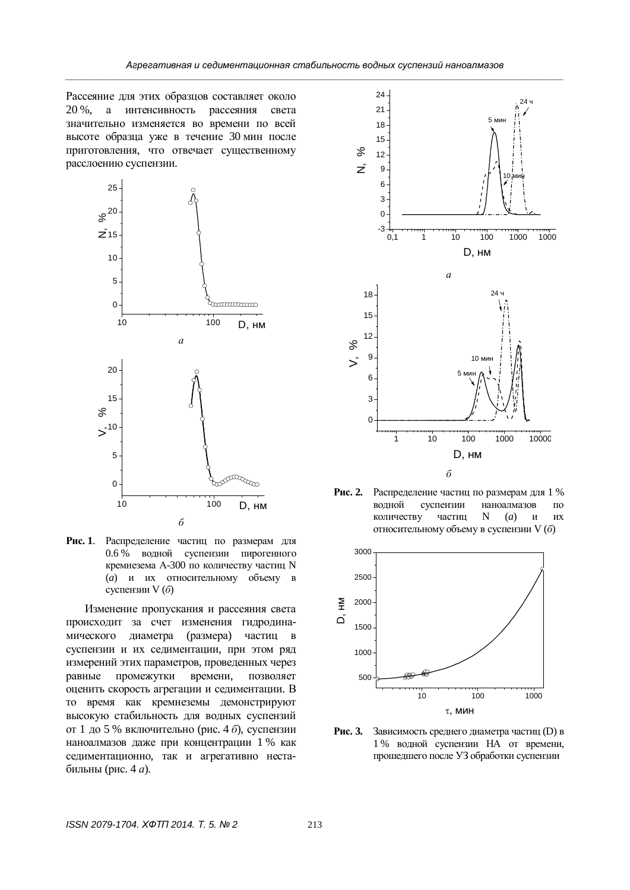Рассеяние для этих образцов составляет около 20 %, а интенсивность рассеяния света значительно изменяется во времени по всей высоте образца уже в течение 30 мин после приготовления, что отвечает существенному расслоению суспензии.



Рис. 1. Распределение частиц по размерам для 0.6 % водной суспензии пирогенного кремнезема А-300 по количеству частиц N (*a*) и их относительному объему в суспензии V (б)

Изменение пропускания и рассеяния света происходит за счет изменения гидродинамического диаметра (размера) частиц в суспензии и их седиментации, при этом ряд измерений этих параметров, проведенных через равные промежутки времени, позволяет оценить скорость агрегации и седиментации. В то время как кремнеземы демонстрируют высокую стабильность для водных суспензий от 1 до 5 % включительно (рис. 4 *б*), суспензии наноалмазов даже при концентрации 1 % как седиментационно, так и агрегативно нестабильны (рис. 4 *a*).



Рис. 2. Распределение частиц по размерам для 1 % волной суспензии наноалмазов по количеству частин N  $(a)$  и их относительному объему в суспензии V (б)



Рис. 3. Зависимость среднего диаметра частиц (D) в 1 % водной суспензии НА от времени, прошедшего после УЗ обработки суспензии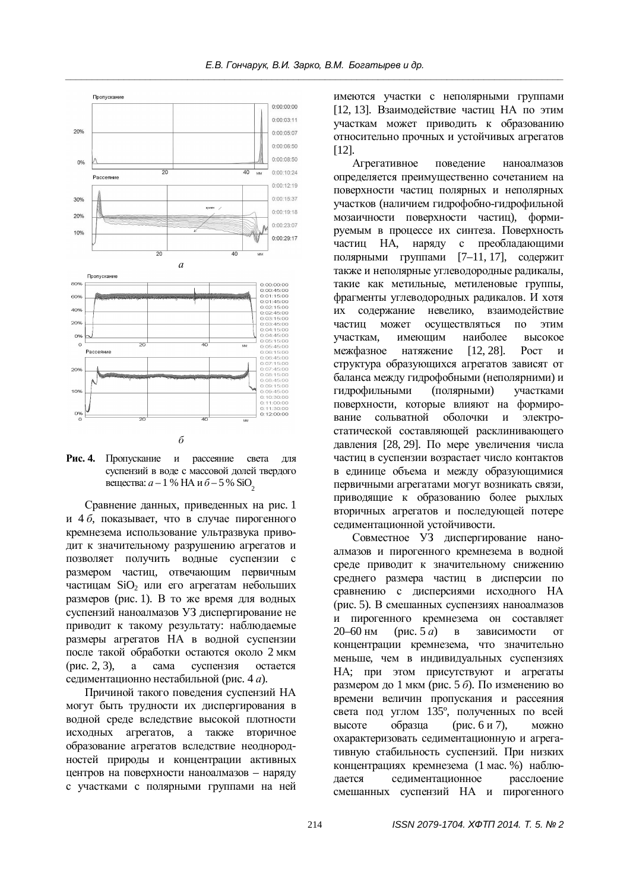



Сравнение данных, приведенных на рис. 1 и 4 *б*, показывает, что в случае пирогенного кремнезема использование ультразвука приводит к значительному разрушению агрегатов и позволяет получить водные суспензии с размером частиц, отвечающим первичным частицам SiO<sub>2</sub> или его агрегатам небольших  $pa$ змеров (рис. 1). В то же время для водных суспензий наноалмазов УЗ диспергирование не приводит к такому результату: наблюдаемые размеры агрегатов НА в водной суспензии после такой обработки остаются около 2 мкм  $(mac, 2, 3)$ , а сама суспензия остается селиментационно нестабильной (рис. 4 *а*).

Причиной такого поведения суспензий НА могут быть трудности их диспергирования в водной среде вследствие высокой плотности исходных агрегатов, а также вторичное образование агрегатов вследствие неоднородностей природы и концентрации активных центров на поверхности наноалмазов – наряду с участками с полярными группами на ней

имеются участки с неполярными группами [12, 13]. Взаимодействие частиц НА по этим үчасткам может приводить к образованию относительно прочных и устойчивых агрегатов [12].

Агрегативное поведение наноалмазов определяется преимущественно сочетанием на поверхности частиц полярных и неполярных участков (наличием гидрофобно-гидрофильной мозаичности поверхности частиц), формируемым в процессе их синтеза. Поверхность частиц НА, наряду с преобладающими полярными группами [7–11, 17], содержит также и неполярные углеводородные радикалы, такие как метильные, метиленовые группы, фрагменты углеводородных радикалов. И хотя их содержание невелико, взаимодействие частин может осуществляться по этим үчасткам, имеющим наиболее высокое межфазное натяжение [12, 28]. Рост и структура образующихся агрегатов зависят от баланса между гидрофобными (неполярними) и гидрофильными (полярными) участками поверхности, которые влияют на формирование сольватной оболочки и электростатической составляющей расклинивающего давления [28, 29]. По мере увеличения числа частиц в суспензии возрастает число контактов в единице объема и между образующимися первичными агрегатами могут возникать связи, приводящие к образованию более рыхлых вторичных агрегатов и последующей потере седиментационной устойчивости.

Совместное УЗ диспергирование наноалмазов и пирогенного кремнезема в водной среде приводит к значительному снижению среднего размера частиц в дисперсии по сравнению с дисперсиями исходного НА (рис. 5). В смешанных суспензиях наноалмазов и пирогенного кремнезема он составляет  $20-60$  HM (DHC,  $5a$ ) B зависимости от концентрации кремнезема, что значительно меньше, чем в индивидуальных суспензиях НА; при этом присутствуют и агрегаты размером до 1 мкм (рис. 5  $\delta$ ). По изменению во времени величин пропускания и рассеяния света под углом 135°, полученных по всей  $B<sub>BiC</sub>$ оте образца (рис. 6 и 7), можно охарактеризовать селиментационную и агрегативную стабильность суспензий. При низких концентрациях кремнезема (1 мас. %) наблюдается седиментационное расслоение смешанных суспензий НА и пирогенного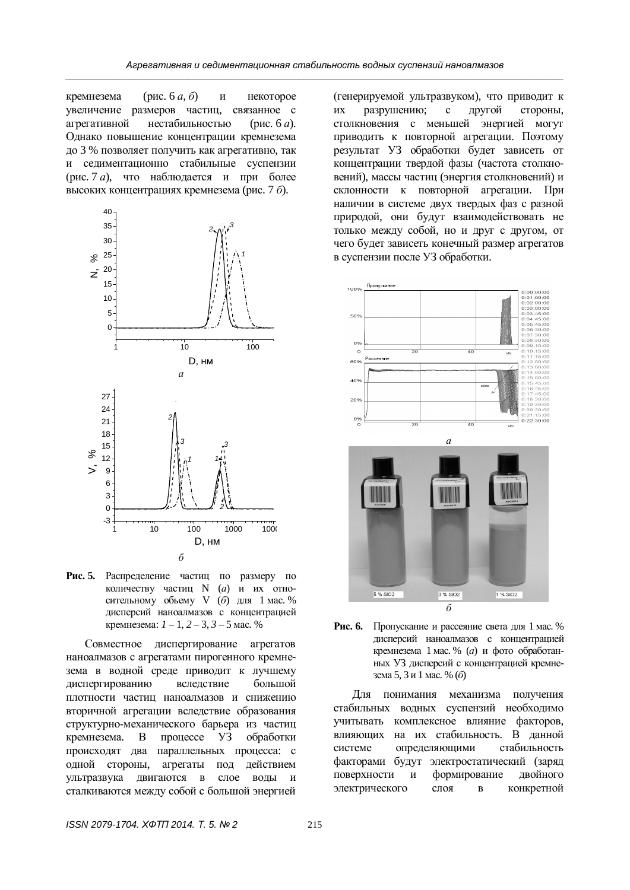кремнезема (рис. 6  $a, 6$ ) и некоторое увеличение размеров частиц, связанное с агрегативной нестабильностью (рис. 6 *a*). Однако повышение концентрации кремнезема до 3 % позволяет получить как агрегативно, так и седиментационно стабильные суспензии  $(pnc. 7 a)$ , что наблюдается и при более высоких концентрациях кремнезема (рис. 7 *б*).



Рис. 5. Распределение частиц по размеру по количеству частиц N (*a*) и их относительному обьему V (б) для 1 мас. % дисперсий наноалмазов с концентрацией кремнезема:  $1 - 1$ ,  $2 - 3$ ,  $3 - 5$  мас. %

Совместное диспергирование агрегатов наноалмазов с агрегатами пирогенного кремнезема в водной среде приводит к лучшему диспергированию вследствие большой плотности частиц наноалмазов и снижению вторичной агрегации вследствие образования структурно-механического барьера из частиц кремнезема. В процессе УЗ обработки происходят два параллельных процесса: с одной стороны, агрегаты под действием үльтразвука двигаются в слое воды и сталкиваются между собой с большой энергией

(генерируемой ультразвуком), что приводит к их разрушению; с другой стороны, столкновения с меньшей энергией могут приводить к повторной агрегации. Поэтому результат УЗ обработки будет зависеть от концентрации твердой фазы (частота столкновений), массы частиц (энергия столкновений) и склонности к повторной агрегации. При наличии в системе двух твердых фаз с разной природой, они будут взаимодействовать не только между собой, но и друг с другом, от чего будет зависеть конечный размер агрегатов в суспензии после УЗ обработки.



Рис. 6. Пропускание и рассеяние света для 1 мас. % дисперсий наноалмазов с концентрацией кремнезема 1 мас. % (а) и фото обработанных УЗ дисперсий с концентрацией кремнезема 5, 3 и 1 мас. % (б)

Для понимания механизма получения стабильных водных суспензий необходимо учитывать комплексное влияние факторов, влияющих на их стабильность. В данной системе определяющими стабильность факторами будут электростатический (заряд поверхности и формирование двойного электрического слоя в конкретной

*ISSN 2079-1704. ɏɎɌɉ 2014. Ɍ. 5. ʋ 2* 215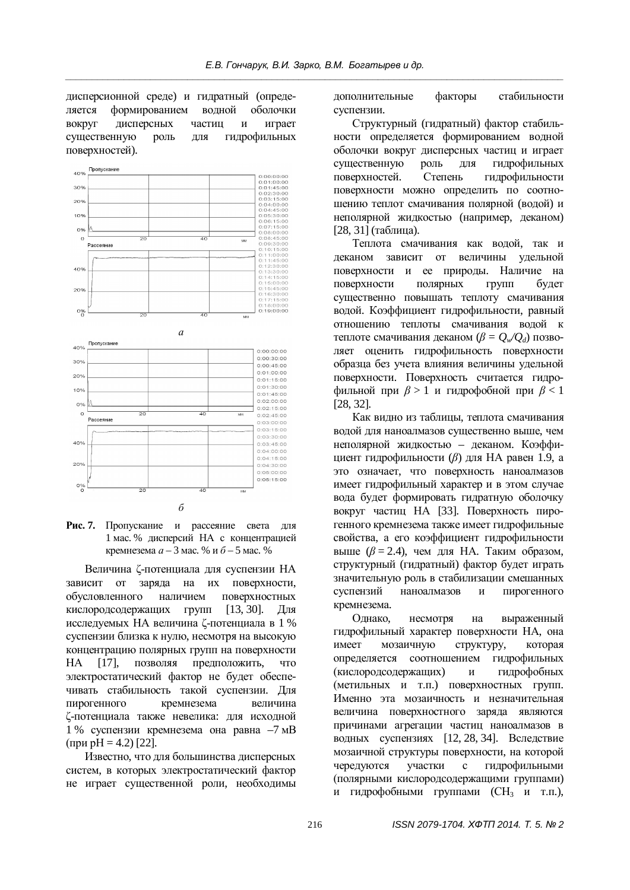дисперсионной среде) и гидратный (определяется формированием водной оболочки вокруг лисперсных частиц и играет существенную роль для гидрофильных поверхностей).



Рис. 7. Пропускание и рассеяние света для 1 мас. % дисперсий НА с концентрацией кремнезема  $a - 3$  мас. % и  $\bar{b} - 5$  мас. %

Величина С-потенциала для суспензии НА зависит от заряда на их поверхности, обусловленного наличием поверхностных кислородсодержащих групп [13, 30]. Для исследуемых НА величина С-потенциала в 1 % суспензии близка к нулю, несмотря на высокую концентрацию полярных групп на поверхности НА [17], позволяя предположить, что электростатический фактор не будет обеспечивать стабильность такой суспензии. Для пирогенного кремнезема величина  $\zeta$ -потенциала также невелика: для исходной  $1\%$  суспензии кремнезема она равна  $-7$  мВ  $(\text{при } pH = 4.2)$  [22].

Известно, что для большинства лисперсных систем, в которых электростатический фактор не играет существенной роли, необходимы дополнительные факторы стабильности суспензии.

Структурный (гилратный) фактор стабильности определяется формированием водной оболочки вокруг дисперсных частиц и играет существенную роль для гидрофильных поверхностей. Степень гидрофильности поверхности можно определить по соотношению теплот смачивания полярной (водой) и неполярной жидкостью (например, деканом)  $[28, 31]$  (таблица).

Теплота смачивания как волой, так и деканом зависит от величины удельной поверхности и ее природы. Наличие на поверхности полярных групп будет существенно повышать теплоту смачивания водой. Коэффициент гидрофильности, равный отношению теплоты смачивания волой к теплоте смачивания деканом ( $\beta = Q_w/Q_d$ ) позволяет оценить гидрофильность поверхности образца без учета влияния величины удельной поверхности. Поверхность считается гидро- $\phi$ ильной при  $\beta > 1$  и гидрофобной при  $\beta < 1$ [28, 32]*.*

Как видно из таблицы, теплота смачивания водой для наноалмазов существенно выше, чем неполярной жидкостью – деканом. Коэффициент гидрофильности (β) для НА равен 1.9, а это означает, что поверхность наноалмазов имеет гидрофильный характер и в этом случае вода будет формировать гидратную оболочку вокруг частиц НА [33]. Поверхность пирогенного кремнезема также имеет гидрофильные свойства, а его коэффициент гидрофильности <u>выше  $(\beta = 2.4)$ , чем для НА. Таким образом,</u> структурный (гидратный) фактор будет играть значительную роль в стабилизации смешанных суспензий наноалмазов и пирогенного кремнезема.

Однако, несмотря на выраженный гилрофильный характер поверхности НА, она имеет мозаичную структуру, которая определяется соотношением гидрофильных (кислородсодержащих) и гидрофобных (метильных и т.п.) поверхностных групп. Именно эта мозаичность и незначительная величина поверхностного заряда являются причинами агрегации частиц наноалмазов в водных суспензиях [12, 28, 34]. Вследствие мозаичной структуры поверхности, на которой черелуются участки с гилрофильными (полярными кислородсодержащими группами) гидрофобными группами (СН<sub>3</sub> и т.п.),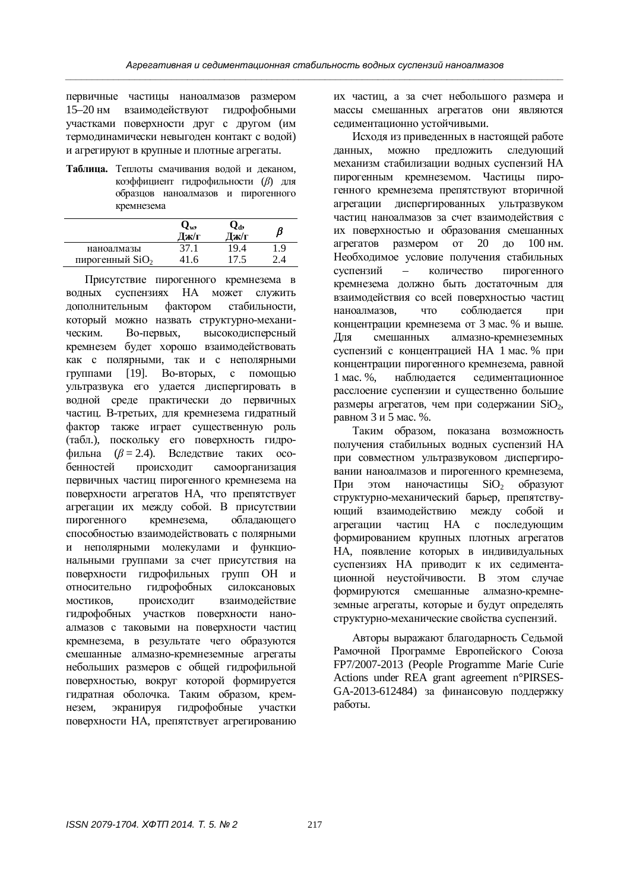первичные частицы наноалмазов размером 15-20 нм взаимодействуют гидрофобными VHACTKAMH HOBEDXHOCTH HDVT C HOVTOM (HM термодинамически невыгоден контакт с водой) и агрегируют в крупные и плотные агрегаты.

Таблица. Теплоты смачивания водой и деканом. коэффициент гилрофильности (*β*) лля образцов наноалмазов и пирогенного кремнезема

|                                           | Vw,<br>Тж/г | 2d,<br>$\mathbf{T}$ ж/г |       |
|-------------------------------------------|-------------|-------------------------|-------|
| наноалмазы<br>пирогенный SiO <sub>2</sub> | 37.1        | 19.4                    | . . 9 |

Присутствие пирогенного кремнезема в водных суспензиях НА может служить дополнительным фактором стабильности, который можно назвать структурно-механическим. Во-первых, высокодисперсный кремнезем будет хорошо взаимодействовать как с полярными, так и с неполярными группами [19]. Во-вторых, с помощью ультразвука его удается диспергировать в волной среде практически до первичных частиц. В-третьих, для кремнезема гидратный фактор также играет существенную роль (табл.), поскольку его поверхность гидро- $\phi$ ильна ( $\beta = 2.4$ ). Вследствие таких особенностей происходит самоорганизация первичных частиц пирогенного кремнезема на поверхности агрегатов НА, что препятствует агрегации их между собой. В присутствии пирогенного кремнезема, обладающего способностью взаимодействовать с полярными и неполярными молекулами и функциональными группами за счет присутствия на поверхности гидрофильных групп ОН и относительно гидрофобных силоксановых мостиков, происходит взаимодействие гидрофобных участков поверхности наноалмазов с таковыми на поверхности частиц кремнезема, в результате чего образуются смешанные алмазно-кремнеземные агрегаты небольших размеров с общей гидрофильной поверхностью, вокруг которой формируется гидратная оболочка. Таким образом, кремнезем, экранируя гидрофобные участки поверхности НА, препятствует агрегированию

их частиц, а за счет небольшого размера и массы смешанных агрегатов они являются селиментационно устойчивыми.

Исходя из приведенных в настоящей работе данных, можно предложить следующий механизм стабилизации водных суспензий НА пирогенным кремнеземом. Частицы пирогенного кремнезема препятствуют вторичной агрегации диспергированных ультразвуком частиц наноалмазов за счет взаимодействия с их поверхностью и образования смешанных агрегатов размером от 20 до  $100 \text{ }\text{nm}$ . Необходимое условие получения стабильных суспензий – количество пирогенного кремнезема должно быть достаточным для взаимодействия со всей поверхностью частиц наноалмазов, что соблюдается при концентрации кремнезема от 3 мас. % и выше. Для смешанных алмазно-кремнеземных суспензий с концентрацией НА 1 мас. % при концентрации пирогенного кремнезема, равной 1 мас. %, наблюлается селиментационное расслоение суспензии и существенно большие размеры агрегатов, чем при содержании  $SiO<sub>2</sub>$ , равном 3 и 5 мас. %.

Таким образом, показана возможность получения стабильных водных суспензий НА при совместном ультразвуковом диспергировании наноалмазов и пирогенного кремнезема, При этом наночастицы SiO<sub>2</sub> образуют структурно-механический барьер, препятствующий взаимодействию между собой и агрегации частиц НА с последующим формированием крупных плотных агрегатов НА, появление которых в индивидуальных суспензиях НА приводит к их седиментационной неустойчивости. В этом случае формируются смешанные алмазно-кремнеземные агрегаты, которые и будут определять структурно-механические свойства суспензий.

Авторы выражают благодарность Седьмой Рамочной Программе Европейского Союза FP7/2007-2013 (People Programme Marie Curie Actions under REA grant agreement n°PIRSES-GA-2013-612484) за финансовую поддержку работы.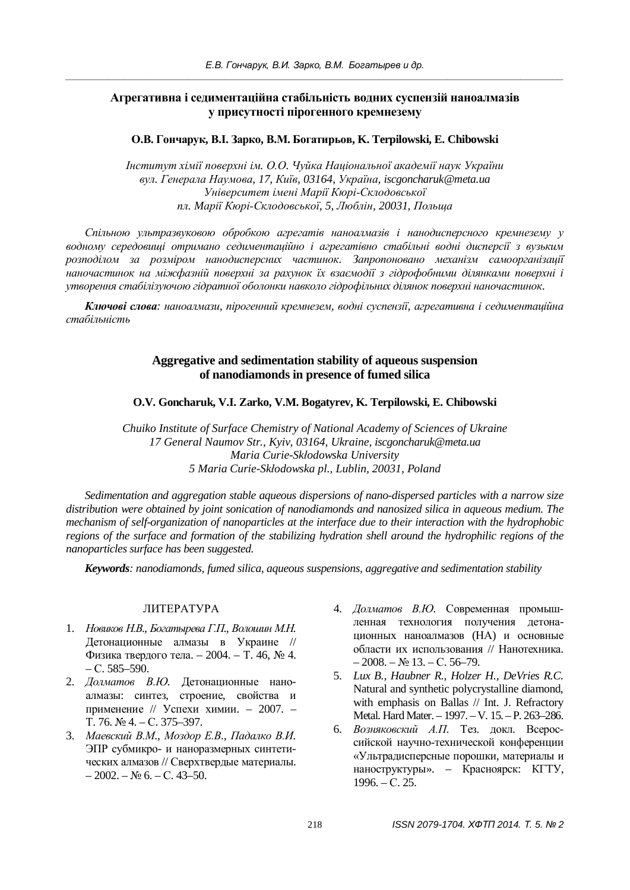# Агрегативна і седиментаційна стабільність водних суспензій наноалмазів у присутності пірогенного кремнезему

**Ɉȼ. Ƚɨɧɱɚɪɭɤ, ȼȱ. Ɂɚɪɤɨ, ȼɆ. Ȼɨɝɚɬɢɪɶɨɜ, K. Terpilowski, E. Chibowski** 

 $I$ нститут хімії поверхні ім. О.О. Чуйка Національної академії наук України *ɜɭɥ. Ƚɟɧɟɪɚɥɚɇɚɭɦɨɜɚ, 17, Ʉɢʀɜ, 03164, ɍɤɪɚʀɧɚ, iscgoncharuk@meta.ua ɍɧɿɜɟɪɫɢɬɟɬɿɦɟɧɿɆɚɪɿʀɄɸɪɿɋɤɥɨɞɨɜɫɶɤɨʀ пл. Марії Кюрі-Склодовської, 5, Люблін, 20031, Польща* 

Спільною ультразвуковою обробкою агрегатів наноалмазів і нанодисперсного кремнезему у водному середовищі отримано седиментаційно *і агрегатівно стабільні водні дисперсії* з вузьким розподілом за розміром нанодисперсних частинок. Запропоновано механізм самоорганізації наночастинок на міжфазній поверхні за рахунок їх взаємодії з гідрофобними ділянками поверхні і утворення стабілізуючою гідратної оболонки навколо гідрофільних ділянок поверхні наночастинок.

Ключові слова: наноалмази, пірогенний кремнезем, водні суспензії, агрегативна і седиментаційна стаб*ільність* 

#### **Aggregative and sedimentation stability of aqueous suspension of nanodiamonds in presence of fumed silica**

**O.V. Goncharuk, V.I. Zarko, V.M. Bogatyrev, K. Terpilowski, E. Chibowski**

*Chuiko Institute of Surface Chemistry of National Academy of Sciences of Ukraine 17 General Naumov Str., Kyiv, 03164, Ukraine, iscgoncharuk@meta.ua Maria Curie-Skáodowska University 5 Maria Curie-Skáodowska pl., Lublin, 20031, Poland* 

*Sedimentation and aggregation stable aqueous dispersions of nano-dispersed particles with a narrow size distribution were obtained by joint sonication of nanodiamonds and nanosized silica in aqueous medium. The mechanism of self-organization of nanoparticles at the interface due to their interaction with the hydrophobic regions of the surface and formation of the stabilizing hydration shell around the hydrophilic regions of the nanoparticles surface has been suggested.* 

*Keywords: nanodiamonds, fumed silica, aqueous suspensions, aggregative and sedimentation stability* 

### ɅɂɌȿɊȺɌɍɊȺ

- 1. *Новиков Н.В., Богатырева Г.П., Волошин М.Н.* Детонационные алмазы в Украине // Физика твердого тела. – 2004. – Т. 46,  $\mathcal{N}_2$  4.  $- C. 585 - 590.$
- 2. *Долматов В.Ю.* Детонационные наноалмазы: синтез, строение, свойства и применение // Успехи химии. – 2007. –  $T. 76. N<sub>2</sub> 4. - C. 375-397.$
- 3. Маевский В.М., Моздор Е.В., Падалко В.И. ЭПР субмикро- и наноразмерных синтетических алмазов // Сверхтвердые материалы.  $-2002. - N_2$  6.  $- C. 43-50.$
- 4. *Долматов В.Ю.* Современная промышленная технология получения детонационных наноалмазов (НА) и основные области их использования // Нанотехника.  $-2008. - N_0 13. - C. 56-79.$
- 5. *Lux B., Haubner R., Holzer H., DeVries R.C.* Natural and synthetic polycrystalline diamond, with emphasis on Ballas // Int. J. Refractory Metal. Hard Mater. – 1997. – V. 15. – P. 263–286.
- 6. Возняковский А.П. Тез. докл. Всероссийской научно-технической конференции «Ультрадисперсные порошки, материалы и наноструктуры». – Красноярск: КГТУ,  $1996. - C. 25.$